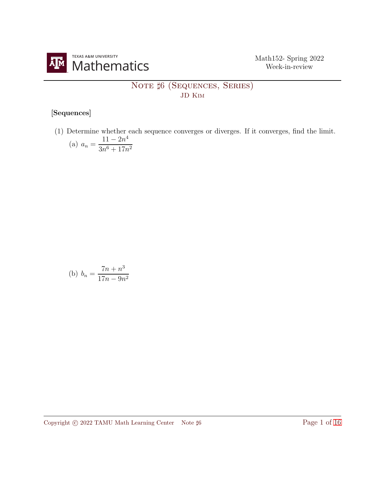

## NOTE  $#6$  (Sequences, Series) JD Kim

## [Sequences]

(1) Determine whether each sequence converges or diverges. If it converges, find the limit. (a)  $a_n = \frac{11 - 2n^4}{2n^6 + 17n^4}$  $3n^6 + 17n^2$ 

(b) 
$$
b_n = \frac{7n + n^3}{17n - 9n^2}
$$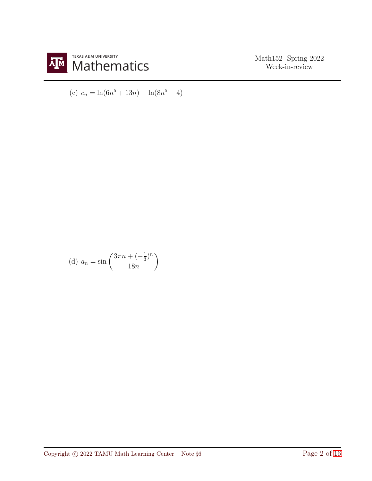

(c) 
$$
c_n = \ln(6n^5 + 13n) - \ln(8n^5 - 4)
$$

(d) 
$$
a_n = \sin\left(\frac{3\pi n + (-\frac{1}{3})^n}{18n}\right)
$$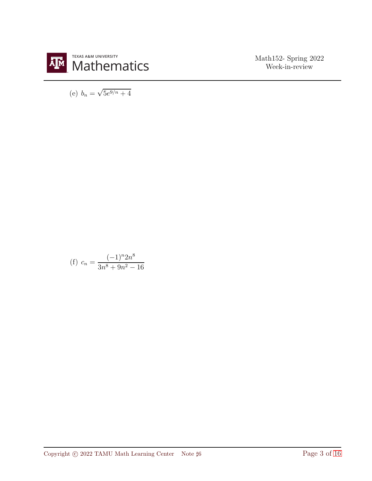

(e)  $b_n = \sqrt{5e^{9/n} + 4}$ 

(f) 
$$
c_n = \frac{(-1)^n 2n^8}{3n^8 + 9n^2 - 16}
$$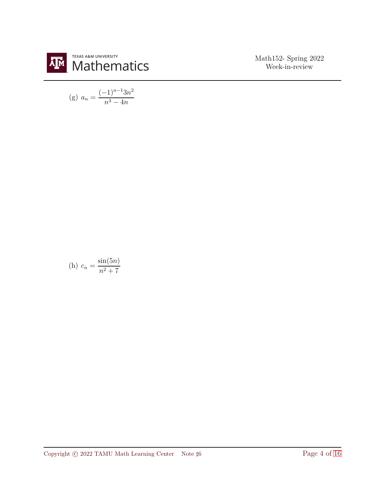

(g) 
$$
a_n = \frac{(-1)^{n-1} 3n^2}{n^3 - 4n}
$$

(h) 
$$
c_n = \frac{\sin(5n)}{n^2 + 7}
$$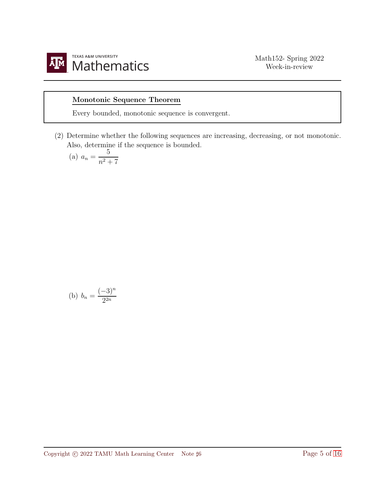

## Monotonic Sequence Theorem

Every bounded, monotonic sequence is convergent.

(2) Determine whether the following sequences are increasing, decreasing, or not monotonic. Also, determine if the sequence is bounded.

(a) 
$$
a_n = \frac{5}{n^2 + 7}
$$

(b) 
$$
b_n = \frac{(-3)^n}{2^{2n}}
$$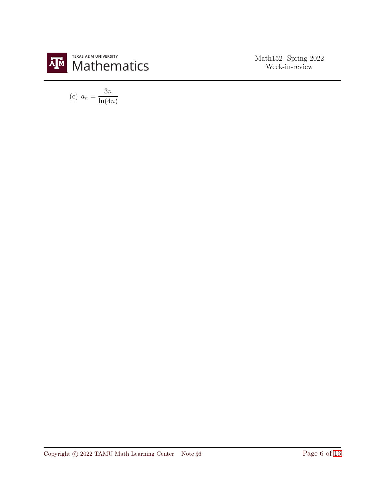

$$
(c) \ a_n = \frac{3n}{\ln(4n)}
$$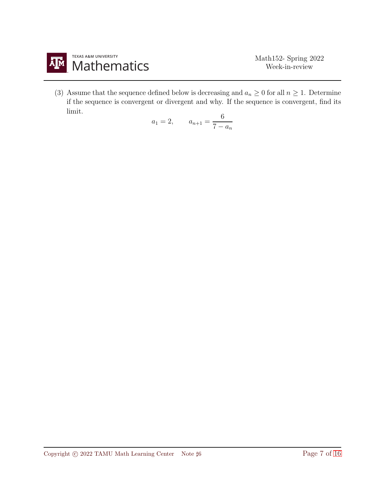

(3) Assume that the sequence defined below is decreasing and  $a_n \geq 0$  for all  $n \geq 1$ . Determine if the sequence is convergent or divergent and why. If the sequence is convergent, find its limit.

$$
a_1 = 2, \qquad a_{n+1} = \frac{6}{7 - a_n}
$$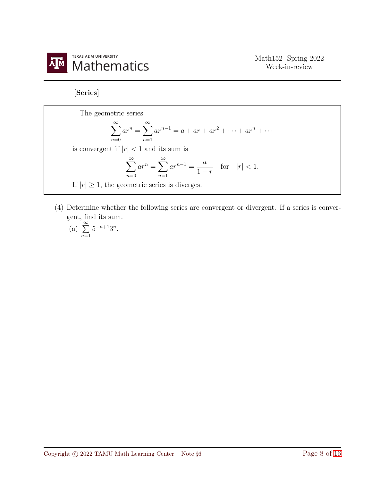

[Series]

The geometric series  $\sum^{\infty}$  $n=0$  $ar^n = \sum_{n=0}^{\infty}$  $n=1$  $ar^{n-1} = a + ar + ar^2 + \dots + ar^n + \dots$ is convergent if  $|r| < 1$  and its sum is  $\sum^{\infty}$  $n=0$  $ar^n = \sum_{n=0}^{\infty}$  $n=1$  $ar^{n-1} = \frac{a}{1}$  $1 - r$ for  $|r| < 1$ . If  $|r| \geq 1$ , the geometric series is diverges.

(4) Determine whether the following series are convergent or divergent. If a series is convergent, find its sum.

(a) 
$$
\sum_{n=1}^{\infty} 5^{-n+1}3^n
$$
.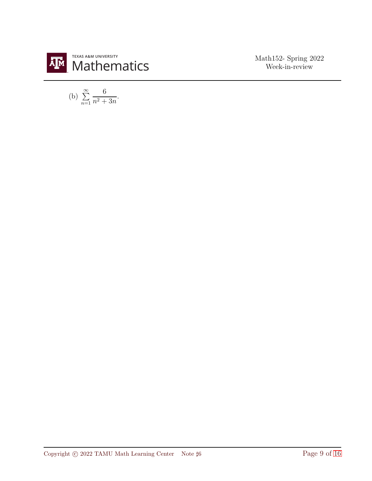

(b) 
$$
\sum_{n=1}^{\infty} \frac{6}{n^2 + 3n}
$$
.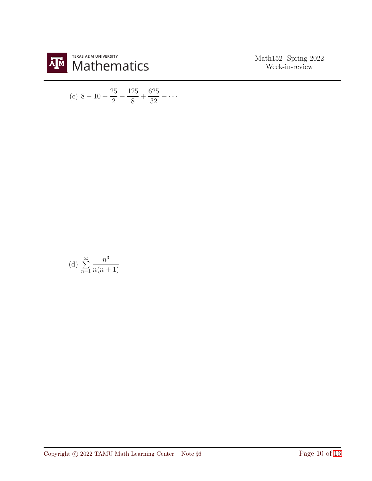

(c) 
$$
8 - 10 + \frac{25}{2} - \frac{125}{8} + \frac{625}{32} - \cdots
$$

(d) 
$$
\sum_{n=1}^{\infty} \frac{n^3}{n(n+1)}
$$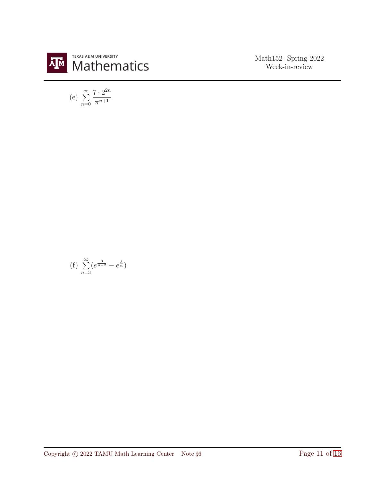

(e) 
$$
\sum_{n=0}^{\infty} \frac{7 \cdot 2^{2n}}{\pi^{n+1}}
$$

(f) 
$$
\sum_{n=3}^{\infty} (e^{\frac{3}{n-2}} - e^{\frac{3}{n}})
$$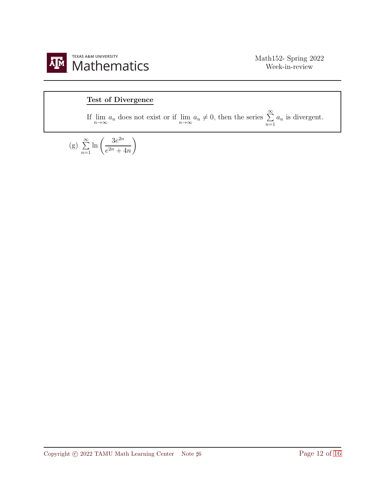

## Test of Divergence

If  $\lim_{n \to \infty} a_n$  does not exist or if  $\lim_{n \to \infty} a_n \neq 0$ , then the series  $\sum_{n=1}^{\infty}$  $a_n$  is divergent.

(g) 
$$
\sum_{n=1}^{\infty} \ln \left( \frac{3e^{2n}}{e^{2n} + 4n} \right)
$$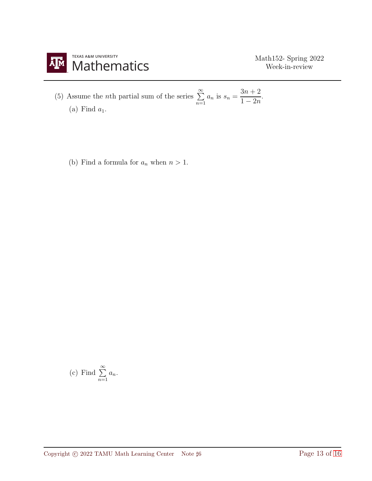

(5) Assume the *n*th partial sum of the series 
$$
\sum_{n=1}^{\infty} a_n
$$
 is  $s_n = \frac{3n+2}{1-2n}$ . (a) Find  $a_1$ .

(b) Find a formula for  $a_n$  when  $n > 1$ .

(c) Find 
$$
\sum_{n=1}^{\infty} a_n
$$
.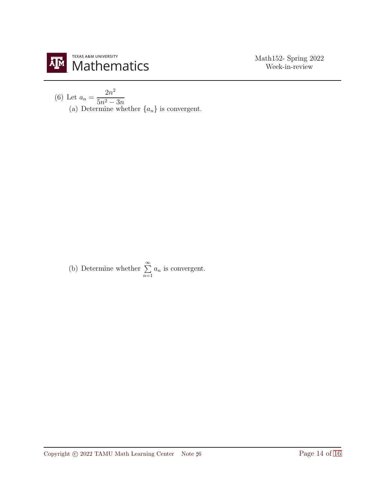

(6) Let 
$$
a_n = \frac{2n^2}{5n^2 - 3n}
$$
  
(a) Determine whether  $\{a_n\}$  is convergent.

(b) Determine whether  $\sum_{n=1}^{\infty}$  $n=1$  $a_n$  is convergent.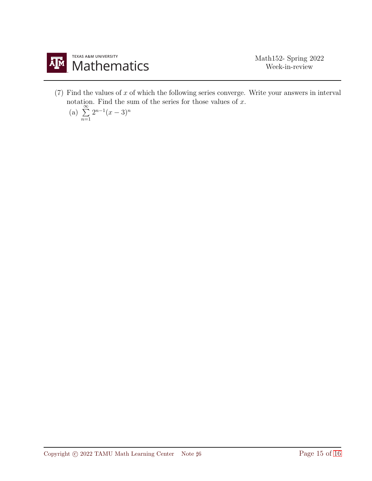

 $(7)$  Find the values of x of which the following series converge. Write your answers in interval notation. Find the sum of the series for those values of x.<br>
(a)  $\sum_{n=1}^{\infty} 2^{n-1}(x-3)^n$ 

(a) 
$$
\sum_{n=1}^{\infty} 2^{n-1}(x-3)^n
$$